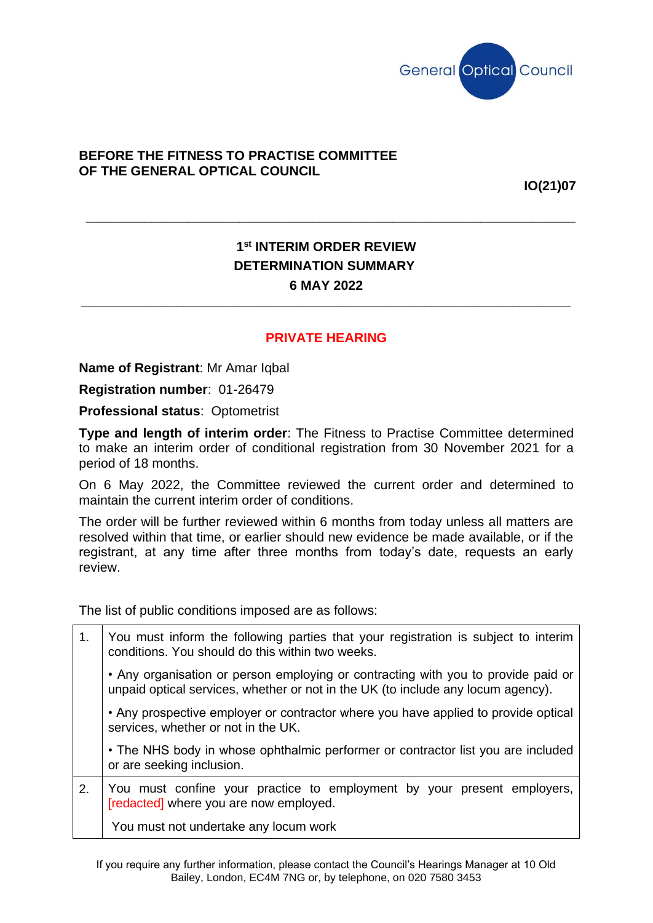

## **BEFORE THE FITNESS TO PRACTISE COMMITTEE OF THE GENERAL OPTICAL COUNCIL**

**IO(21)07**

## **1 st INTERIM ORDER REVIEW DETERMINATION SUMMARY 6 MAY 2022**

**\_\_\_\_\_\_\_\_\_\_\_\_\_\_\_\_\_\_\_\_\_\_\_\_\_\_\_\_\_\_\_\_\_\_\_\_\_\_\_\_\_\_\_\_\_\_\_\_\_\_\_\_\_\_\_\_\_\_\_\_\_\_\_\_\_\_\_**

**\_\_\_\_\_\_\_\_\_\_\_\_\_\_\_\_\_\_\_\_\_\_\_\_\_\_\_\_\_\_\_\_\_\_\_\_\_\_\_\_\_\_\_\_\_\_\_\_\_\_\_\_\_\_\_\_\_\_\_\_\_\_\_\_\_\_\_**

## **PRIVATE HEARING**

**Name of Registrant**: Mr Amar Iqbal

**Registration number**: 01-26479

**Professional status**: Optometrist

**Type and length of interim order**: The Fitness to Practise Committee determined to make an interim order of conditional registration from 30 November 2021 for a period of 18 months.

On 6 May 2022, the Committee reviewed the current order and determined to maintain the current interim order of conditions.

The order will be further reviewed within 6 months from today unless all matters are resolved within that time, or earlier should new evidence be made available, or if the registrant, at any time after three months from today's date, requests an early review.

The list of public conditions imposed are as follows:

| 1 <sub>1</sub> | You must inform the following parties that your registration is subject to interim<br>conditions. You should do this within two weeks.                                |
|----------------|-----------------------------------------------------------------------------------------------------------------------------------------------------------------------|
|                | • Any organisation or person employing or contracting with you to provide paid or<br>unpaid optical services, whether or not in the UK (to include any locum agency). |
|                | • Any prospective employer or contractor where you have applied to provide optical<br>services, whether or not in the UK.                                             |
|                | • The NHS body in whose ophthalmic performer or contractor list you are included<br>or are seeking inclusion.                                                         |
| 2.             | You must confine your practice to employment by your present employers,<br>[redacted] where you are now employed.                                                     |
|                | You must not undertake any locum work                                                                                                                                 |